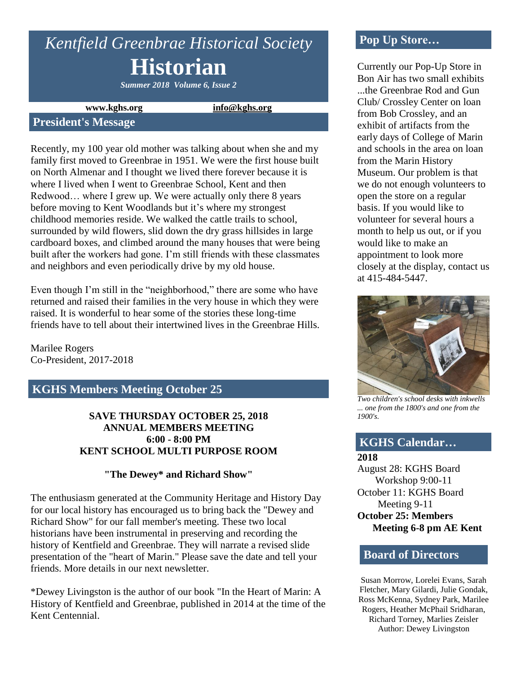# *Kentfield Greenbrae Historical Society* **Historian**

*Summer 2018 Volume 6, Issue 2*

**www.kghs.org [info@kghs.org](mailto:info@kghs.org)**

#### **President's Message**

Recently, my 100 year old mother was talking about when she and my family first moved to Greenbrae in 1951. We were the first house built on North Almenar and I thought we lived there forever because it is where I lived when I went to Greenbrae School, Kent and then Redwood… where I grew up. We were actually only there 8 years before moving to Kent Woodlands but it's where my strongest childhood memories reside. We walked the cattle trails to school, surrounded by wild flowers, slid down the dry grass hillsides in large cardboard boxes, and climbed around the many houses that were being built after the workers had gone. I'm still friends with these classmates and neighbors and even periodically drive by my old house.

Even though I'm still in the "neighborhood," there are some who have returned and raised their families in the very house in which they were raised. It is wonderful to hear some of the stories these long-time friends have to tell about their intertwined lives in the Greenbrae Hills.

Marilee Rogers Co-President, 2017-2018

# **KGHS Members Meeting October 25**

#### **SAVE THURSDAY OCTOBER 25, 2018 ANNUAL MEMBERS MEETING 6:00 - 8:00 PM KENT SCHOOL MULTI PURPOSE ROOM**

#### **"The Dewey\* and Richard Show"**

The enthusiasm generated at the Community Heritage and History Day for our local history has encouraged us to bring back the "Dewey and Richard Show" for our fall member's meeting. These two local historians have been instrumental in preserving and recording the history of Kentfield and Greenbrae. They will narrate a revised slide presentation of the "heart of Marin." Please save the date and tell your friends. More details in our next newsletter.

\*Dewey Livingston is the author of our book "In the Heart of Marin: A History of Kentfield and Greenbrae, published in 2014 at the time of the Kent Centennial.

# **Pop Up Store…**

Currently our Pop-Up Store in Bon Air has two small exhibits ...the Greenbrae Rod and Gun Club/ Crossley Center on loan from Bob Crossley, and an exhibit of artifacts from the early days of College of Marin and schools in the area on loan from the Marin History Museum. Our problem is that we do not enough volunteers to open the store on a regular basis. If you would like to volunteer for several hours a month to help us out, or if you would like to make an appointment to look more closely at the display, contact us at 415-484-5447.



*Two children's school desks with inkwells ... one from the 1800's and one from the 1900's.*

#### **KGHS Calendar…**

**2018**

August 28: KGHS Board Workshop 9:00-11 October 11: KGHS Board Meeting 9-11 **October 25: Members Meeting 6-8 pm AE Kent**

#### **Board of Directors**

Susan Morrow, Lorelei Evans, Sarah Fletcher, Mary Gilardi, Julie Gondak, Ross McKenna, Sydney Park, Marilee Rogers, Heather McPhail Sridharan, Richard Torney, Marlies Zeisler Author: Dewey Livingston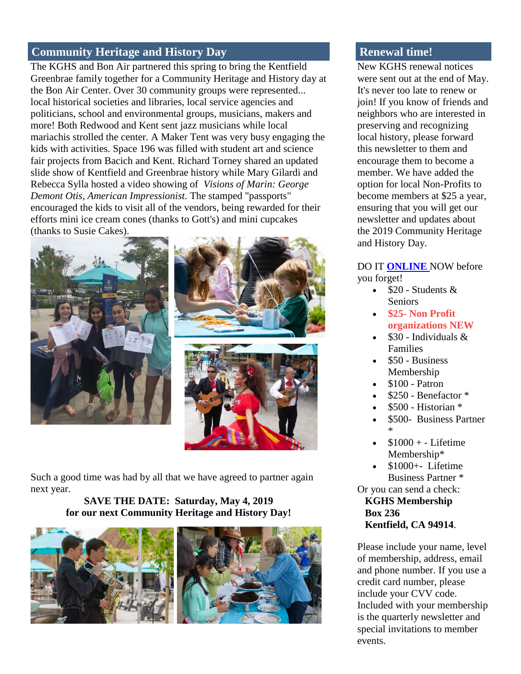# **Community Heritage and History Day**

The KGHS and Bon Air partnered this spring to bring the Kentfield Greenbrae family together for a Community Heritage and History day at the Bon Air Center. Over 30 community groups were represented... local historical societies and libraries, local service agencies and politicians, school and environmental groups, musicians, makers and more! Both Redwood and Kent sent jazz musicians while local mariachis strolled the center. A Maker Tent was very busy engaging the kids with activities. Space 196 was filled with student art and science fair projects from Bacich and Kent. Richard Torney shared an updated slide show of Kentfield and Greenbrae history while Mary Gilardi and Rebecca Sylla hosted a video showing of *Visions of Marin: George Demont Otis, American Impressionist.* The stamped "passports" encouraged the kids to visit all of the vendors, being rewarded for their efforts mini ice cream cones (thanks to Gott's) and mini cupcakes (thanks to Susie Cakes).





Such a good time was had by all that we have agreed to partner again next year.

#### **SAVE THE DATE: Saturday, May 4, 2019 for our next Community Heritage and History Day!**





# **Renewal time!**

New KGHS renewal notices were sent out at the end of May. It's never too late to renew or join! If you know of friends and neighbors who are interested in preserving and recognizing local history, please forward this newsletter to them and encourage them to become a member. We have added the option for local Non-Profits to become members at \$25 a year, ensuring that you will get our newsletter and updates about the 2019 Community Heritage and History Day.

#### DO IT **[ONLINE](http://www.kghs.org/)** NOW before you forget!

- $\bullet$  \$20 Students & **Seniors**
- **\$25- Non Profit organizations NEW**
- $\cdot$  \$30 Individuals & Families
- \$50 Business Membership
- \$100 Patron
- \$250 Benefactor \*
- \$500 Historian \*
- \$500- Business Partner \*
- $$1000 + Lifetime$ Membership\*
- $\bullet$  \$1000+- Lifetime Business Partner \*

Or you can send a check:  **KGHS Membership Box 236 Kentfield, CA 94914**.

Please include your name, level of membership, address, email and phone number. If you use a credit card number, please include your CVV code. Included with your membership is the quarterly newsletter and special invitations to member events.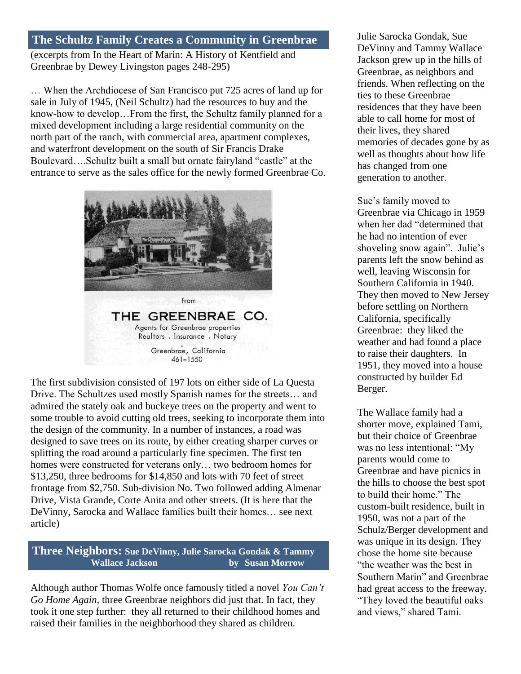### **The Schultz Family Creates a Community in Greenbrae** (excerpts from In the Heart of Marin: A History of Kentfield and Greenbrae by Dewey Livingston pages 248-295)

… When the Archdiocese of San Francisco put 725 acres of land up for sale in July of 1945, (Neil Schultz) had the resources to buy and the know-how to develop…From the first, the Schultz family planned for a mixed development including a large residential community on the north part of the ranch, with commercial area, apartment complexes, and waterfront development on the south of Sir Francis Drake Boulevard….Schultz built a small but ornate fairyland "castle" at the entrance to serve as the sales office for the newly formed Greenbrae Co.



Agents for Greenbrae properties Realtors . Insurance . Notary Greenbrae, California 461-1550

The first subdivision consisted of 197 lots on either side of La Questa Drive. The Schultzes used mostly Spanish names for the streets… and admired the stately oak and buckeye trees on the property and went to some trouble to avoid cutting old trees, seeking to incorporate them into the design of the community. In a number of instances, a road was designed to save trees on its route, by either creating sharper curves or splitting the road around a particularly fine specimen. The first ten homes were constructed for veterans only… two bedroom homes for \$13,250, three bedrooms for \$14,850 and lots with 70 feet of street frontage from \$2,750. Sub-division No. Two followed adding Almenar Drive, Vista Grande, Corte Anita and other streets. (It is here that the DeVinny, Sarocka and Wallace families built their homes… see next article)

**Three Neighbors: Sue DeVinny, Julie Sarocka Gondak & Tammy Wallace Jackson by Susan Morrow**

Although author Thomas Wolfe once famously titled a novel *You Can't Go Home Again,* three Greenbrae neighbors did just that. In fact, they took it one step further: they all returned to their childhood homes and raised their families in the neighborhood they shared as children.

Julie Sarocka Gondak, Sue DeVinny and Tammy Wallace Jackson grew up in the hills of Greenbrae, as neighbors and friends. When reflecting on the ties to these Greenbrae residences that they have been able to call home for most of their lives, they shared memories of decades gone by as well as thoughts about how life has changed from one generation to another.

Sue's family moved to Greenbrae via Chicago in 1959 when her dad "determined that he had no intention of ever shoveling snow again". Julie's parents left the snow behind as well, leaving Wisconsin for Southern California in 1940. They then moved to New Jersey before settling on Northern California, specifically Greenbrae: they liked the weather and had found a place to raise their daughters. In 1951, they moved into a house constructed by builder Ed Berger.

The Wallace family had a shorter move, explained Tami, but their choice of Greenbrae was no less intentional: "My parents would come to Greenbrae and have picnics in the hills to choose the best spot to build their home." The custom-built residence, built in 1950, was not a part of the Schulz/Berger development and was unique in its design. They chose the home site because "the weather was the best in Southern Marin" and Greenbrae had great access to the freeway. "They loved the beautiful oaks and views," shared Tami.